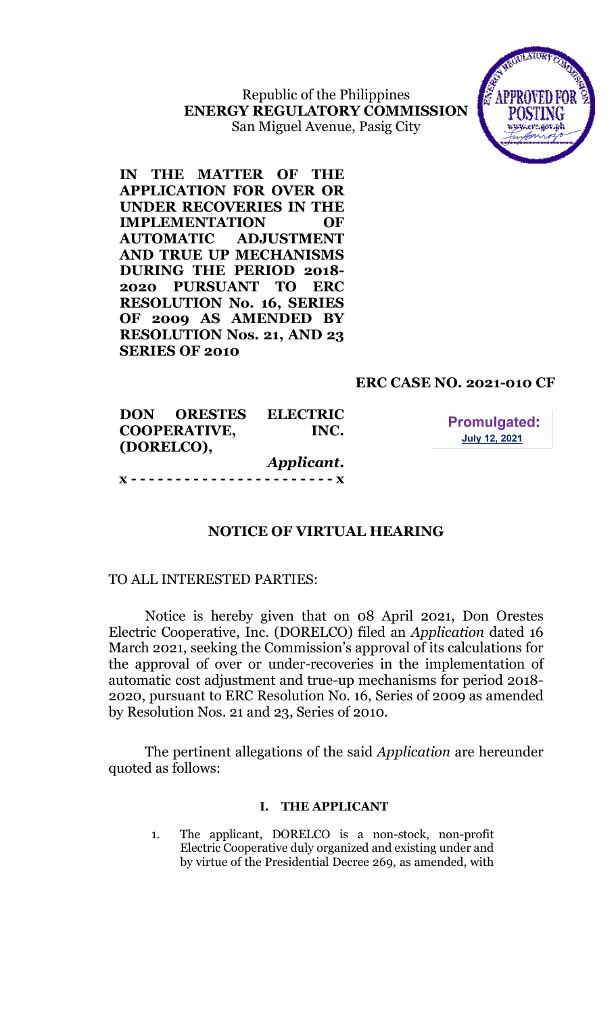Republic of the Philippines ENERGY REGULATORY COMMISSION San Miguel Avenue, Pasig City



IN THE MATTER OF THE APPLICATION FOR OVER OR UNDER RECOVERIES IN THE IMPLEMENTATION OF AUTOMATIC ADJUSTMENT AND TRUE UP MECHANISMS DURING THE PERIOD 2018- 2020 PURSUANT TO ERC RESOLUTION No. 16, SERIES OF 2009 AS AMENDED BY RESOLUTION Nos. 21, AND 23 SERIES OF 2010

# ERC CASE NO. 2021-010 CF

**Promulgated: July 12, 2021** 

| <b>DON ORESTES</b>  | <b>ELECTRIC</b> |
|---------------------|-----------------|
| <b>COOPERATIVE,</b> | INC.            |
| (DORELCO),          |                 |
|                     | Applicant.      |
|                     |                 |

# NOTICE OF VIRTUAL HEARING

## TO ALL INTERESTED PARTIES:

Notice is hereby given that on 08 April 2021, Don Orestes Electric Cooperative, Inc. (DORELCO) filed an Application dated 16 March 2021, seeking the Commission's approval of its calculations for the approval of over or under-recoveries in the implementation of automatic cost adjustment and true-up mechanisms for period 2018- 2020, pursuant to ERC Resolution No. 16, Series of 2009 as amended by Resolution Nos. 21 and 23, Series of 2010.

The pertinent allegations of the said *Application* are hereunder quoted as follows:

### I. THE APPLICANT

1. The applicant, DORELCO is a non-stock, non-profit Electric Cooperative duly organized and existing under and by virtue of the Presidential Decree 269, as amended, with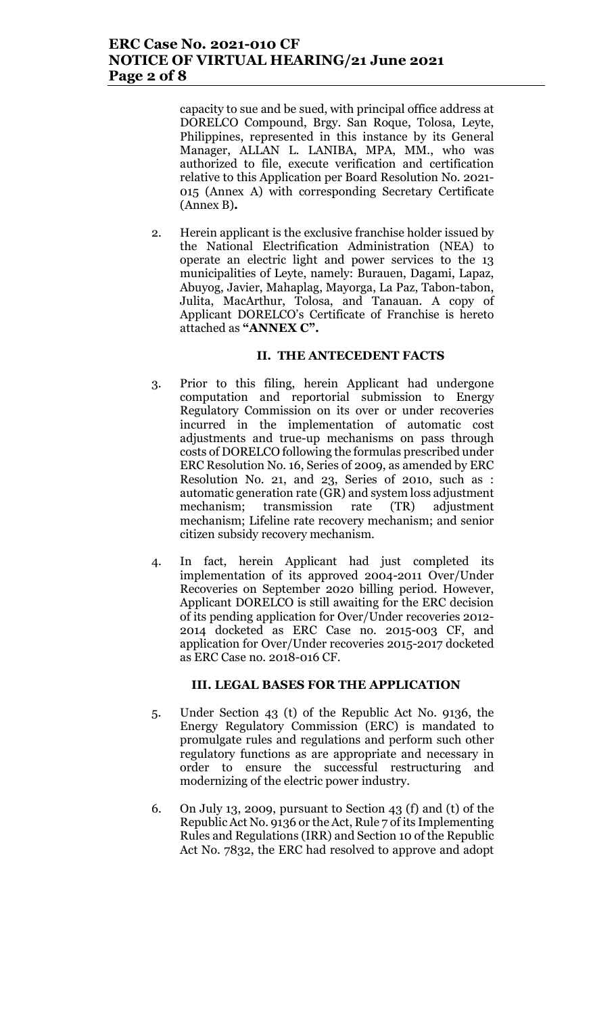capacity to sue and be sued, with principal office address at DORELCO Compound, Brgy. San Roque, Tolosa, Leyte, Philippines, represented in this instance by its General Manager, ALLAN L. LANIBA, MPA, MM., who was authorized to file, execute verification and certification relative to this Application per Board Resolution No. 2021- 015 (Annex A) with corresponding Secretary Certificate (Annex B).

2. Herein applicant is the exclusive franchise holder issued by the National Electrification Administration (NEA) to operate an electric light and power services to the 13 municipalities of Leyte, namely: Burauen, Dagami, Lapaz, Abuyog, Javier, Mahaplag, Mayorga, La Paz, Tabon-tabon, Julita, MacArthur, Tolosa, and Tanauan. A copy of Applicant DORELCO's Certificate of Franchise is hereto attached as "ANNEX C".

### II. THE ANTECEDENT FACTS

- 3. Prior to this filing, herein Applicant had undergone computation and reportorial submission to Energy Regulatory Commission on its over or under recoveries incurred in the implementation of automatic cost adjustments and true-up mechanisms on pass through costs of DORELCO following the formulas prescribed under ERC Resolution No. 16, Series of 2009, as amended by ERC Resolution No. 21, and 23, Series of 2010, such as : automatic generation rate (GR) and system loss adjustment mechanism; transmission rate (TR) adjustment mechanism; Lifeline rate recovery mechanism; and senior citizen subsidy recovery mechanism.
- 4. In fact, herein Applicant had just completed its implementation of its approved 2004-2011 Over/Under Recoveries on September 2020 billing period. However, Applicant DORELCO is still awaiting for the ERC decision of its pending application for Over/Under recoveries 2012- 2014 docketed as ERC Case no. 2015-003 CF, and application for Over/Under recoveries 2015-2017 docketed as ERC Case no. 2018-016 CF.

#### III. LEGAL BASES FOR THE APPLICATION

- 5. Under Section 43 (t) of the Republic Act No. 9136, the Energy Regulatory Commission (ERC) is mandated to promulgate rules and regulations and perform such other regulatory functions as are appropriate and necessary in order to ensure the successful restructuring and modernizing of the electric power industry.
- 6. On July 13, 2009, pursuant to Section 43 (f) and (t) of the Republic Act No. 9136 or the Act, Rule 7 of its Implementing Rules and Regulations (IRR) and Section 10 of the Republic Act No. 7832, the ERC had resolved to approve and adopt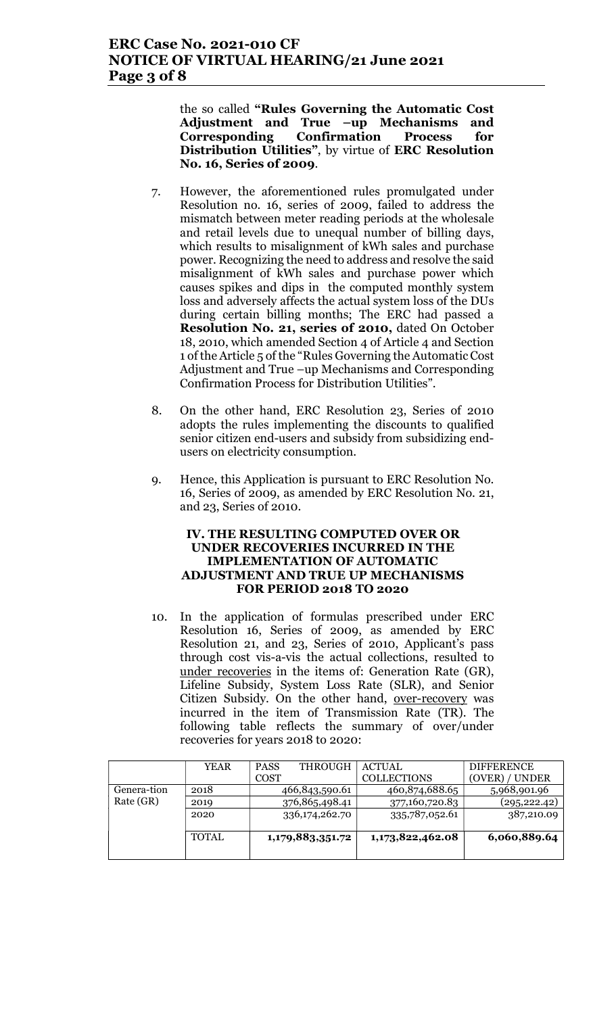the so called "Rules Governing the Automatic Cost Adjustment and True –up Mechanisms and Corresponding Confirmation Process for Distribution Utilities", by virtue of ERC Resolution No. 16, Series of 2009.

- 7. However, the aforementioned rules promulgated under Resolution no. 16, series of 2009, failed to address the mismatch between meter reading periods at the wholesale and retail levels due to unequal number of billing days, which results to misalignment of kWh sales and purchase power. Recognizing the need to address and resolve the said misalignment of kWh sales and purchase power which causes spikes and dips in the computed monthly system loss and adversely affects the actual system loss of the DUs during certain billing months; The ERC had passed a Resolution No. 21, series of 2010, dated On October 18, 2010, which amended Section 4 of Article 4 and Section 1 of the Article 5 of the "Rules Governing the Automatic Cost Adjustment and True –up Mechanisms and Corresponding Confirmation Process for Distribution Utilities".
- 8. On the other hand, ERC Resolution 23, Series of 2010 adopts the rules implementing the discounts to qualified senior citizen end-users and subsidy from subsidizing endusers on electricity consumption.
- 9. Hence, this Application is pursuant to ERC Resolution No. 16, Series of 2009, as amended by ERC Resolution No. 21, and 23, Series of 2010.

#### IV. THE RESULTING COMPUTED OVER OR UNDER RECOVERIES INCURRED IN THE IMPLEMENTATION OF AUTOMATIC ADJUSTMENT AND TRUE UP MECHANISMS FOR PERIOD 2018 TO 2020

10. In the application of formulas prescribed under ERC Resolution 16, Series of 2009, as amended by ERC Resolution 21, and 23, Series of 2010, Applicant's pass through cost vis-a-vis the actual collections, resulted to under recoveries in the items of: Generation Rate (GR), Lifeline Subsidy, System Loss Rate (SLR), and Senior Citizen Subsidy. On the other hand, over-recovery was incurred in the item of Transmission Rate (TR). The following table reflects the summary of over/under recoveries for years 2018 to 2020:

|             | <b>YEAR</b> | <b>PASS</b><br><b>THROUGH</b> | <b>ACTUAL</b>      | <b>DIFFERENCE</b> |
|-------------|-------------|-------------------------------|--------------------|-------------------|
|             |             | <b>COST</b>                   | <b>COLLECTIONS</b> | (OVER) / UNDER    |
| Genera-tion | 2018        | 466,843,590.61                | 460,874,688.65     | 5,968,901.96      |
| Rate (GR)   | 2019        | 376,865,498.41                | 377,160,720.83     | (295, 222.42)     |
|             | 2020        | 336,174,262.70                | 335,787,052.61     | 387,210.09        |
|             |             |                               |                    |                   |
|             | TOTAL       | 1,179,883,351.72              | 1,173,822,462.08   | 6,060,889.64      |
|             |             |                               |                    |                   |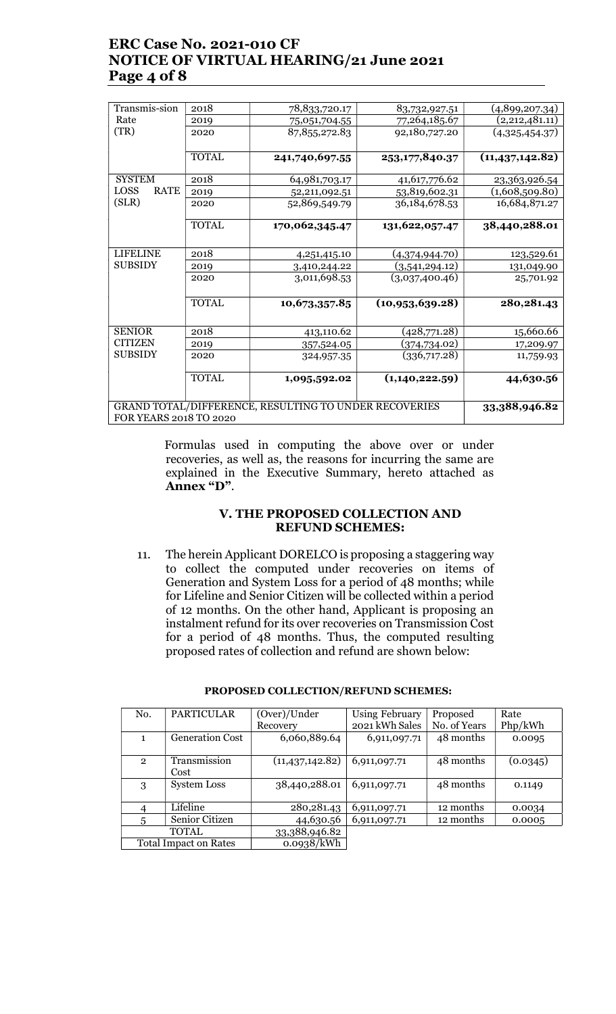# ERC Case No. 2021-010 CF NOTICE OF VIRTUAL HEARING/21 June 2021 Page 4 of 8

| Transmis-sion                                                                   | 2018          | 78,833,720.17   | 83,732,927.51     | (4,899,207.34)    |  |
|---------------------------------------------------------------------------------|---------------|-----------------|-------------------|-------------------|--|
| Rate                                                                            | 2019          | 75,051,704.55   | 77,264,185.67     | (2,212,481.11)    |  |
| (TR)                                                                            | 2020          | 87, 855, 272.83 | 92,180,727.20     | (4,325,454.37)    |  |
|                                                                                 |               |                 |                   |                   |  |
|                                                                                 | <b>TOTAL</b>  | 241,740,697.55  | 253,177,840.37    | (11, 437, 142.82) |  |
| <b>SYSTEM</b>                                                                   | 2018          | 64,981,703.17   | 41,617,776.62     | 23,363,926.54     |  |
| LOSS<br><b>RATE</b>                                                             | 2019          | 52,211,092.51   | 53,819,602.31     | (1,608,509.80)    |  |
| (SLR)                                                                           | 2020          | 52,869,549.79   | 36, 184, 678. 53  | 16,684,871.27     |  |
|                                                                                 |               |                 |                   |                   |  |
|                                                                                 | <b>TOTAL</b>  | 170,062,345.47  | 131,622,057.47    | 38,440,288.01     |  |
|                                                                                 |               |                 |                   |                   |  |
| <b>LIFELINE</b>                                                                 | 2018          | 4,251,415.10    | (4,374,944.70)    | 123,529.61        |  |
| <b>SUBSIDY</b>                                                                  | 2019          | 3,410,244.22    | (3,541,294.12)    | 131,049.90        |  |
|                                                                                 | 2020          | 3,011,698.53    | (3,037,400.46)    | 25,701.92         |  |
|                                                                                 |               |                 |                   |                   |  |
|                                                                                 | <b>TOTAL</b>  | 10,673,357.85   | (10, 953, 639.28) | 280, 281. 43      |  |
|                                                                                 |               |                 |                   |                   |  |
| <b>SENIOR</b>                                                                   | 2018          | 413,110.62      | (428,771.28)      | 15,660.66         |  |
| <b>CITIZEN</b>                                                                  | 2019          | 357,524.05      | (374,734.02)      | 17,209.97         |  |
| <b>SUBSIDY</b>                                                                  | 2020          | 324,957.35      | (336,717.28)      | 11,759.93         |  |
|                                                                                 |               |                 |                   |                   |  |
|                                                                                 | <b>TOTAL</b>  | 1,095,592.02    | (1,140,222.59)    | 44,630.56         |  |
|                                                                                 |               |                 |                   |                   |  |
|                                                                                 | 33,388,946.82 |                 |                   |                   |  |
| GRAND TOTAL/DIFFERENCE, RESULTING TO UNDER RECOVERIES<br>FOR YEARS 2018 TO 2020 |               |                 |                   |                   |  |
|                                                                                 |               |                 |                   |                   |  |

 Formulas used in computing the above over or under recoveries, as well as, the reasons for incurring the same are explained in the Executive Summary, hereto attached as Annex "D".

### V. THE PROPOSED COLLECTION AND REFUND SCHEMES:

11. The herein Applicant DORELCO is proposing a staggering way to collect the computed under recoveries on items of Generation and System Loss for a period of 48 months; while for Lifeline and Senior Citizen will be collected within a period of 12 months. On the other hand, Applicant is proposing an instalment refund for its over recoveries on Transmission Cost for a period of 48 months. Thus, the computed resulting proposed rates of collection and refund are shown below:

|                              | No.            | <b>PARTICULAR</b>      | (Over)/Under      | Using February | Proposed     | Rate     |
|------------------------------|----------------|------------------------|-------------------|----------------|--------------|----------|
|                              |                |                        | Recovery          | 2021 kWh Sales | No. of Years | Php/kWh  |
|                              | 1.             | <b>Generation Cost</b> | 6,060,889.64      | 6,911,097.71   | 48 months    | 0.0095   |
|                              |                |                        |                   |                |              |          |
|                              | $\overline{2}$ | Transmission           | (11, 437, 142.82) | 6,911,097.71   | 48 months    | (0.0345) |
|                              |                | Cost                   |                   |                |              |          |
|                              | 3              | <b>System Loss</b>     | 38,440,288.01     | 6,911,097.71   | 48 months    | 0.1149   |
|                              |                |                        |                   |                |              |          |
|                              | 4              | Lifeline               | 280, 281. 43      | 6,911,097.71   | 12 months    | 0.0034   |
|                              | 5              | Senior Citizen         | 44,630.56         | 6,911,097.71   | 12 months    | 0.0005   |
|                              |                | <b>TOTAL</b>           | 33,388,946.82     |                |              |          |
| <b>Total Impact on Rates</b> |                |                        | 0.0938/kWh        |                |              |          |

#### PROPOSED COLLECTION/REFUND SCHEMES: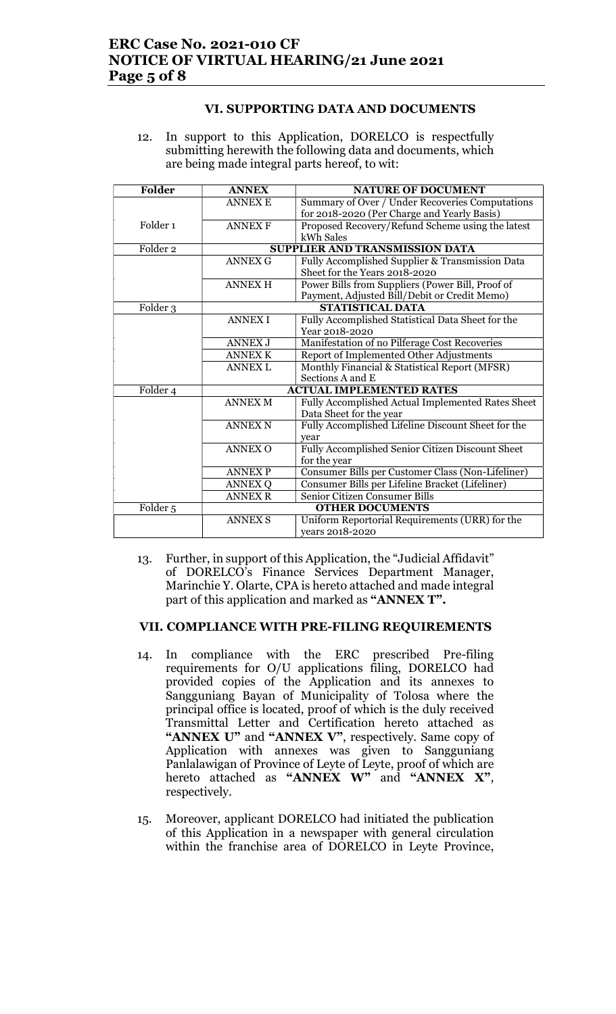# ERC Case No. 2021-010 CF NOTICE OF VIRTUAL HEARING/21 June 2021 Page 5 of 8

## VI. SUPPORTING DATA AND DOCUMENTS

12. In support to this Application, DORELCO is respectfully submitting herewith the following data and documents, which are being made integral parts hereof, to wit:

| Folder              | <b>ANNEX</b>   | <b>NATURE OF DOCUMENT</b>                          |  |
|---------------------|----------------|----------------------------------------------------|--|
|                     | <b>ANNEX E</b> | Summary of Over / Under Recoveries Computations    |  |
|                     |                | for 2018-2020 (Per Charge and Yearly Basis)        |  |
| Folder <sub>1</sub> | <b>ANNEX F</b> | Proposed Recovery/Refund Scheme using the latest   |  |
|                     |                | kWh Sales                                          |  |
| Folder <sub>2</sub> |                | <b>SUPPLIER AND TRANSMISSION DATA</b>              |  |
|                     | <b>ANNEX G</b> | Fully Accomplished Supplier & Transmission Data    |  |
|                     |                | Sheet for the Years 2018-2020                      |  |
|                     | <b>ANNEX H</b> | Power Bills from Suppliers (Power Bill, Proof of   |  |
|                     |                | Payment, Adjusted Bill/Debit or Credit Memo)       |  |
| Folder 3            |                | <b>STATISTICAL DATA</b>                            |  |
|                     | <b>ANNEX I</b> | Fully Accomplished Statistical Data Sheet for the  |  |
|                     |                | Year 2018-2020                                     |  |
|                     | <b>ANNEX J</b> | Manifestation of no Pilferage Cost Recoveries      |  |
|                     | <b>ANNEX K</b> | Report of Implemented Other Adjustments            |  |
|                     | <b>ANNEX L</b> | Monthly Financial & Statistical Report (MFSR)      |  |
|                     |                | Sections A and E                                   |  |
| Folder 4            |                | <b>ACTUAL IMPLEMENTED RATES</b>                    |  |
|                     | <b>ANNEX M</b> | Fully Accomplished Actual Implemented Rates Sheet  |  |
|                     |                | Data Sheet for the year                            |  |
|                     | <b>ANNEX N</b> | Fully Accomplished Lifeline Discount Sheet for the |  |
|                     |                | year                                               |  |
|                     | <b>ANNEX O</b> | Fully Accomplished Senior Citizen Discount Sheet   |  |
|                     |                | for the year                                       |  |
|                     | <b>ANNEX P</b> | Consumer Bills per Customer Class (Non-Lifeliner)  |  |
|                     | <b>ANNEX Q</b> | Consumer Bills per Lifeline Bracket (Lifeliner)    |  |
| <b>ANNEX R</b>      |                | Senior Citizen Consumer Bills                      |  |
| Folder <sub>5</sub> |                | <b>OTHER DOCUMENTS</b>                             |  |
|                     | <b>ANNEX S</b> | Uniform Reportorial Requirements (URR) for the     |  |
|                     |                | years 2018-2020                                    |  |

13. Further, in support of this Application, the "Judicial Affidavit" of DORELCO's Finance Services Department Manager, Marinchie Y. Olarte, CPA is hereto attached and made integral part of this application and marked as "ANNEX T".

#### VII. COMPLIANCE WITH PRE-FILING REQUIREMENTS

- 14. In compliance with the ERC prescribed Pre-filing requirements for O/U applications filing, DORELCO had provided copies of the Application and its annexes to Sangguniang Bayan of Municipality of Tolosa where the principal office is located, proof of which is the duly received Transmittal Letter and Certification hereto attached as "ANNEX U" and "ANNEX V", respectively. Same copy of Application with annexes was given to Sangguniang Panlalawigan of Province of Leyte of Leyte, proof of which are hereto attached as "ANNEX W" and "ANNEX X", respectively.
- 15. Moreover, applicant DORELCO had initiated the publication of this Application in a newspaper with general circulation within the franchise area of DORELCO in Leyte Province,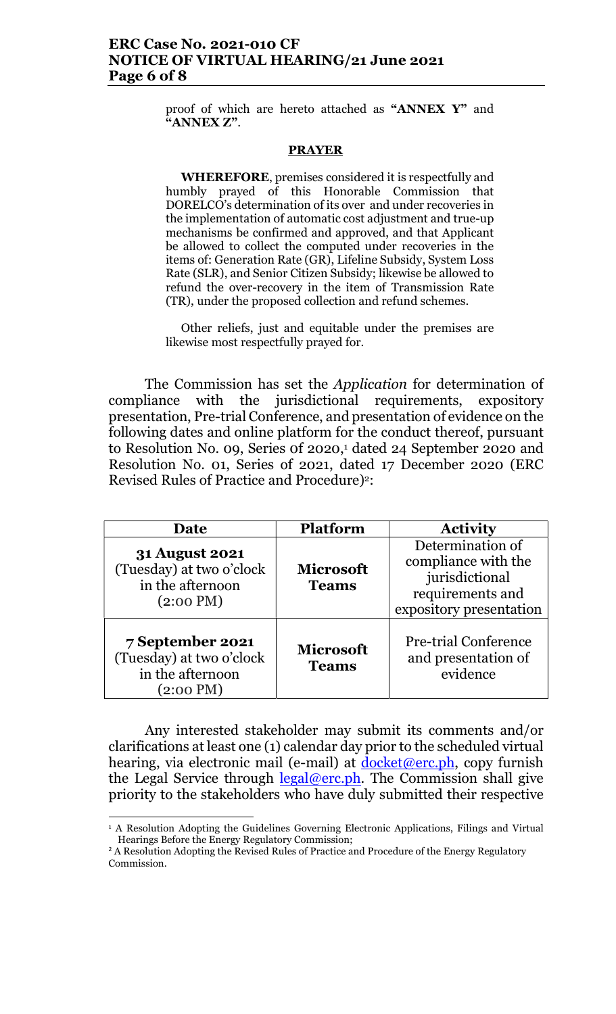## ERC Case No. 2021-010 CF NOTICE OF VIRTUAL HEARING/21 June 2021 Page 6 of 8

proof of which are hereto attached as "ANNEX Y" and "ANNEX Z".

#### **PRAYER**

WHEREFORE, premises considered it is respectfully and humbly prayed of this Honorable Commission that DORELCO's determination of its over and under recoveries in the implementation of automatic cost adjustment and true-up mechanisms be confirmed and approved, and that Applicant be allowed to collect the computed under recoveries in the items of: Generation Rate (GR), Lifeline Subsidy, System Loss Rate (SLR), and Senior Citizen Subsidy; likewise be allowed to refund the over-recovery in the item of Transmission Rate (TR), under the proposed collection and refund schemes.

Other reliefs, just and equitable under the premises are likewise most respectfully prayed for.

The Commission has set the Application for determination of compliance with the jurisdictional requirements, expository presentation, Pre-trial Conference, and presentation of evidence on the following dates and online platform for the conduct thereof, pursuant to Resolution No. 09, Series of 2020,<sup>1</sup> dated 24 September 2020 and Resolution No. 01, Series of 2021, dated 17 December 2020 (ERC Revised Rules of Practice and Procedure)<sup>2</sup>:

| Date                                                                                         | <b>Platform</b>                  | <b>Activity</b>                                                                                          |
|----------------------------------------------------------------------------------------------|----------------------------------|----------------------------------------------------------------------------------------------------------|
| <b>31 August 2021</b><br>(Tuesday) at two o'clock<br>in the afternoon<br>$(2:00 \text{ PM})$ | <b>Microsoft</b><br><b>Teams</b> | Determination of<br>compliance with the<br>jurisdictional<br>requirements and<br>expository presentation |
| 7 September 2021<br>(Tuesday) at two o'clock<br>in the afternoon<br>(2:00 PM)                | <b>Microsoft</b><br><b>Teams</b> | <b>Pre-trial Conference</b><br>and presentation of<br>evidence                                           |

Any interested stakeholder may submit its comments and/or clarifications at least one (1) calendar day prior to the scheduled virtual hearing, via electronic mail (e-mail) at  $d$ ocket@erc.ph, copy furnish the Legal Service through legal@erc.ph. The Commission shall give priority to the stakeholders who have duly submitted their respective

<sup>1</sup> A Resolution Adopting the Guidelines Governing Electronic Applications, Filings and Virtual Hearings Before the Energy Regulatory Commission;

<sup>&</sup>lt;sup>2</sup> A Resolution Adopting the Revised Rules of Practice and Procedure of the Energy Regulatory Commission.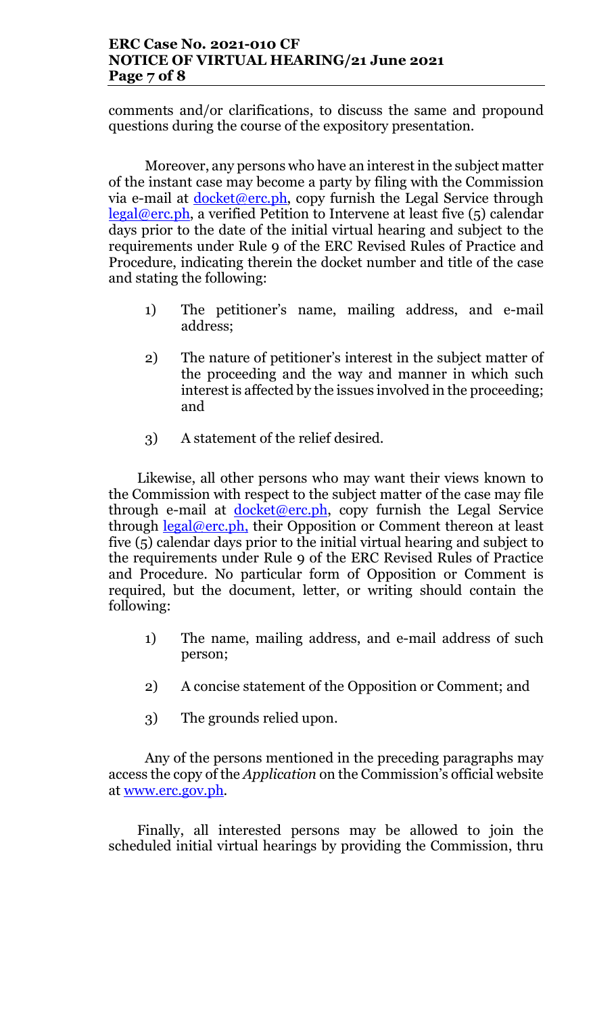## ERC Case No. 2021-010 CF NOTICE OF VIRTUAL HEARING/21 June 2021 Page 7 of 8

comments and/or clarifications, to discuss the same and propound questions during the course of the expository presentation.

Moreover, any persons who have an interest in the subject matter of the instant case may become a party by filing with the Commission via e-mail at  $d$ ocket@erc.ph, copy furnish the Legal Service through legal@erc.ph, a verified Petition to Intervene at least five (5) calendar days prior to the date of the initial virtual hearing and subject to the requirements under Rule 9 of the ERC Revised Rules of Practice and Procedure, indicating therein the docket number and title of the case and stating the following:

- 1) The petitioner's name, mailing address, and e-mail address;
- 2) The nature of petitioner's interest in the subject matter of the proceeding and the way and manner in which such interest is affected by the issues involved in the proceeding; and
- 3) A statement of the relief desired.

Likewise, all other persons who may want their views known to the Commission with respect to the subject matter of the case may file through e-mail at  $docket@erc.ph$ , copy furnish the Legal Service through  $\text{legal@erc.ph},$  their Opposition or Comment thereon at least five (5) calendar days prior to the initial virtual hearing and subject to the requirements under Rule 9 of the ERC Revised Rules of Practice and Procedure. No particular form of Opposition or Comment is required, but the document, letter, or writing should contain the following:

- 1) The name, mailing address, and e-mail address of such person;
- 2) A concise statement of the Opposition or Comment; and
- 3) The grounds relied upon.

Any of the persons mentioned in the preceding paragraphs may access the copy of the Application on the Commission's official website at www.erc.gov.ph.

Finally, all interested persons may be allowed to join the scheduled initial virtual hearings by providing the Commission, thru